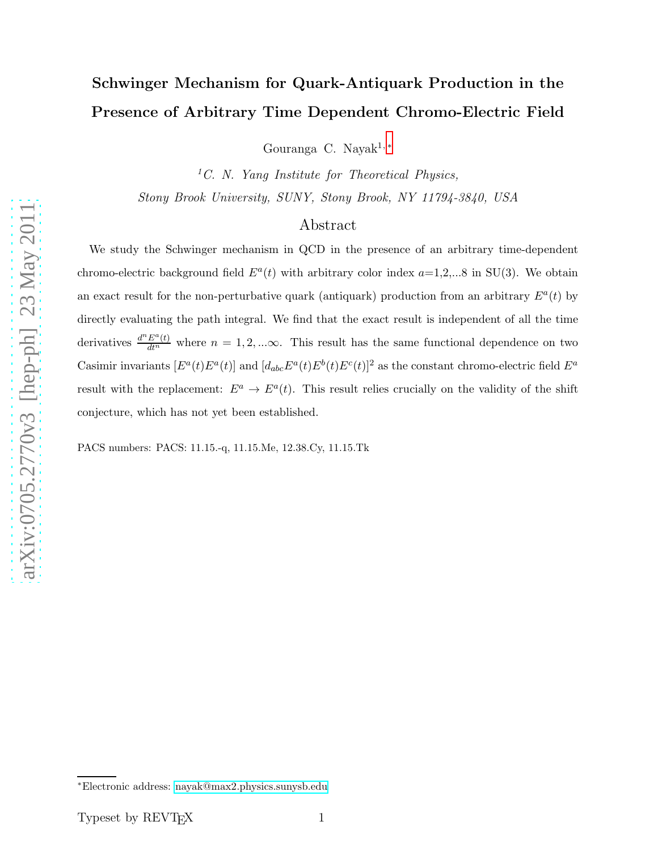## Schwinger Mechanism for Quark-Antiquark Production in the Presence of Arbitrary Time Dependent Chromo-Electric Field

Gouranga C. Naya $k^{1,*}$ 

<sup>1</sup>C. N. Yang Institute for Theoretical Physics, Stony Brook University, SUNY, Stony Brook, NY 11794-3840, USA

## Abstract

We study the Schwinger mechanism in QCD in the presence of an arbitrary time-dependent chromo-electric background field  $E^a(t)$  with arbitrary color index  $a=1,2,...8$  in SU(3). We obtain an exact result for the non-perturbative quark (antiquark) production from an arbitrary  $E^a(t)$  by directly evaluating the path integral. We find that the exact result is independent of all the time derivatives  $\frac{d^n E^a(t)}{dt^n}$  where  $n = 1, 2, ... \infty$ . This result has the same functional dependence on two Casimir invariants  $[E^a(t)E^a(t)]$  and  $[d_{abc}E^a(t)E^b(t)E^c(t)]^2$  as the constant chromo-electric field  $E^a$ result with the replacement:  $E^a \to E^a(t)$ . This result relies crucially on the validity of the shift conjecture, which has not yet been established.

PACS numbers: PACS: 11.15.-q, 11.15.Me, 12.38.Cy, 11.15.Tk

<span id="page-0-0"></span><sup>∗</sup>Electronic address: [nayak@max2.physics.sunysb.edu](mailto:nayak@max2.physics.sunysb.edu)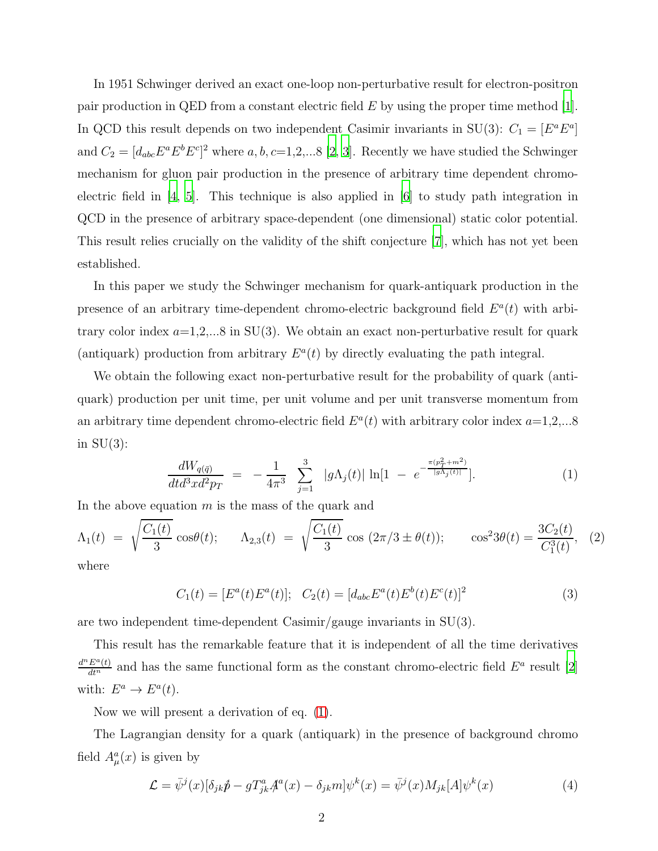In 1951 Schwinger derived an exact one-loop non-perturbative result for electron-positron pair production in QED from a constant electric field  $E$  by using the proper time method [\[1\]](#page-7-0). In QCD this result depends on two independent Casimir invariants in SU(3):  $C_1 = [E^a E^a]$ and  $C_2 = [d_{abc}E^aE^bE^c]^2$  where a, b, c=1,2,...8 [\[2](#page-7-1), [3\]](#page-7-2). Recently we have studied the Schwinger mechanism for gluon pair production in the presence of arbitrary time dependent chromoelectric field in [\[4,](#page-7-3) [5\]](#page-7-4). This technique is also applied in [\[6](#page-7-5)] to study path integration in QCD in the presence of arbitrary space-dependent (one dimensional) static color potential. This result relies crucially on the validity of the shift conjecture [\[7](#page-7-6)], which has not yet been established.

In this paper we study the Schwinger mechanism for quark-antiquark production in the presence of an arbitrary time-dependent chromo-electric background field  $E^a(t)$  with arbitrary color index  $a=1,2,...8$  in SU(3). We obtain an exact non-perturbative result for quark (antiquark) production from arbitrary  $E^a(t)$  by directly evaluating the path integral.

We obtain the following exact non-perturbative result for the probability of quark (antiquark) production per unit time, per unit volume and per unit transverse momentum from an arbitrary time dependent chromo-electric field  $E^a(t)$  with arbitrary color index  $a=1,2,...8$ in  $SU(3)$ :

<span id="page-1-0"></span>
$$
\frac{dW_{q(\bar{q})}}{dt d^3x d^2p_T} = -\frac{1}{4\pi^3} \sum_{j=1}^3 |g\Lambda_j(t)| \ln[1 - e^{-\frac{\pi(p_T^2 + m^2)}{|g\Lambda_j(t)|}}]. \tag{1}
$$

In the above equation  $m$  is the mass of the quark and

<span id="page-1-1"></span>
$$
\Lambda_1(t) = \sqrt{\frac{C_1(t)}{3}} \cos \theta(t); \quad \Lambda_{2,3}(t) = \sqrt{\frac{C_1(t)}{3}} \cos (2\pi/3 \pm \theta(t)); \quad \cos^2 3\theta(t) = \frac{3C_2(t)}{C_1^3(t)}, \quad (2)
$$

where

$$
C_1(t) = [E^a(t)E^a(t)]; \quad C_2(t) = [d_{abc}E^a(t)E^b(t)E^c(t)]^2
$$
\n(3)

are two independent time-dependent Casimir/gauge invariants in SU(3).

This result has the remarkable feature that it is independent of all the time derivatives  $\frac{d^n E^a(t)}{dt^n}$  and has the same functional form as the constant chromo-electric field  $E^a$  result [\[2\]](#page-7-1) with:  $E^a \to E^a(t)$ .

Now we will present a derivation of eq. [\(1\)](#page-1-0).

The Lagrangian density for a quark (antiquark) in the presence of background chromo field  $A^a_\mu(x)$  is given by

$$
\mathcal{L} = \bar{\psi}^j(x)[\delta_{jk}\hat{p} - gT^a_{jk}A^a(x) - \delta_{jk}m]\psi^k(x) = \bar{\psi}^j(x)M_{jk}[A]\psi^k(x)
$$
\n(4)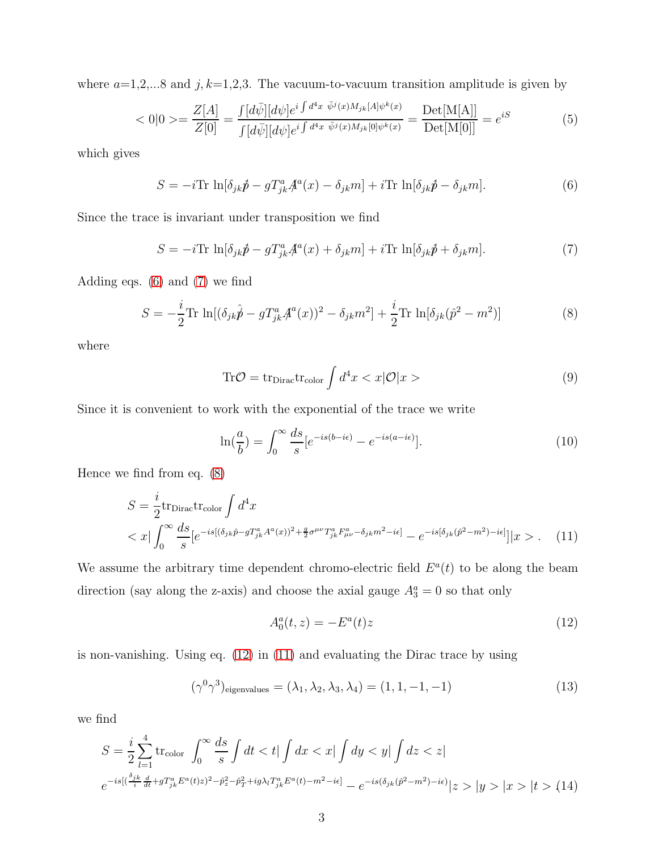where  $a=1,2,...8$  and  $j, k=1,2,3$ . The vacuum-to-vacuum transition amplitude is given by

$$
\langle 0|0 \rangle = \frac{Z[A]}{Z[0]} = \frac{\int [d\bar{\psi}][d\psi] e^{i\int d^4x \ \bar{\psi}^j(x)M_{jk}[A]\psi^k(x)}}{\int [d\bar{\psi}][d\psi] e^{i\int d^4x \ \bar{\psi}^j(x)M_{jk}[0]\psi^k(x)}} = \frac{\text{Det}[M[A]]}{\text{Det}[M[0]]} = e^{iS} \tag{5}
$$

which gives

<span id="page-2-0"></span>
$$
S = -i \text{Tr} \ln[\delta_{jk} \hat{p} - g T^a_{jk} \mathcal{A}^a(x) - \delta_{jk} m] + i \text{Tr} \ln[\delta_{jk} \hat{p} - \delta_{jk} m]. \tag{6}
$$

Since the trace is invariant under transposition we find

<span id="page-2-1"></span>
$$
S = -i \text{Tr} \ln[\delta_{jk} \hat{p} - g T^a_{jk} \mathcal{A}^a(x) + \delta_{jk} m] + i \text{Tr} \ln[\delta_{jk} \hat{p} + \delta_{jk} m]. \tag{7}
$$

Adding eqs. [\(6\)](#page-2-0) and [\(7\)](#page-2-1) we find

<span id="page-2-2"></span>
$$
S = -\frac{i}{2} \text{Tr} \ln[(\delta_{jk}\hat{p} - gT_{jk}^a A^a(x))^2 - \delta_{jk}m^2] + \frac{i}{2} \text{Tr} \ln[\delta_{jk}(\hat{p}^2 - m^2)] \tag{8}
$$

where

$$
\text{Tr}\mathcal{O} = \text{tr}_{\text{Dirac}} \text{tr}_{\text{color}} \int d^4x < x|\mathcal{O}|x \, > \tag{9}
$$

Since it is convenient to work with the exponential of the trace we write

$$
\ln\left(\frac{a}{b}\right) = \int_0^\infty \frac{ds}{s} \left[e^{-is(b-i\epsilon)} - e^{-is(a-i\epsilon)}\right].\tag{10}
$$

Hence we find from eq. [\(8\)](#page-2-2)

<span id="page-2-4"></span>
$$
S = \frac{i}{2} \text{tr}_{\text{Dirac}} \text{tr}_{\text{color}} \int d^4 x
$$
  

$$
< x \big| \int_0^\infty \frac{ds}{s} [e^{-is[(\delta_{jk}\hat{p} - gT_{jk}^a A^a(x))^2 + \frac{g}{2}\sigma^{\mu\nu} T_{jk}^a F_{\mu\nu}^a - \delta_{jk} m^2 - i\epsilon]} - e^{-is[\delta_{jk}(\hat{p}^2 - m^2) - i\epsilon]}] |x > . \quad (11)
$$

We assume the arbitrary time dependent chromo-electric field  $E^a(t)$  to be along the beam direction (say along the z-axis) and choose the axial gauge  $A_3^a = 0$  so that only

<span id="page-2-3"></span>
$$
A_0^a(t, z) = -E^a(t)z
$$
 (12)

is non-vanishing. Using eq. [\(12\)](#page-2-3) in [\(11\)](#page-2-4) and evaluating the Dirac trace by using

<span id="page-2-5"></span>
$$
(\gamma^0 \gamma^3)_{\text{eigenvalues}} = (\lambda_1, \lambda_2, \lambda_3, \lambda_4) = (1, 1, -1, -1)
$$
\n(13)

we find

$$
S = \frac{i}{2} \sum_{l=1}^{4} \text{tr}_{\text{color}} \int_{0}^{\infty} \frac{ds}{s} \int dt < t | \int dx < x | \int dy < y | \int dz < z |
$$
  

$$
e^{-is\left[ \left(\frac{\delta_{jk}}{i} \frac{d}{dt} + g T^{a}_{jk} E^{a}(t) z\right)^{2} - \hat{p}_{z}^{2} - \hat{p}_{T}^{2} + ig\lambda_{l} T^{a}_{jk} E^{a}(t) - m^{2} - i\epsilon \right]} - e^{-is\left(\delta_{jk}(\hat{p}^{2} - m^{2}) - i\epsilon\right)} |z > |y > |x > |t > (14)
$$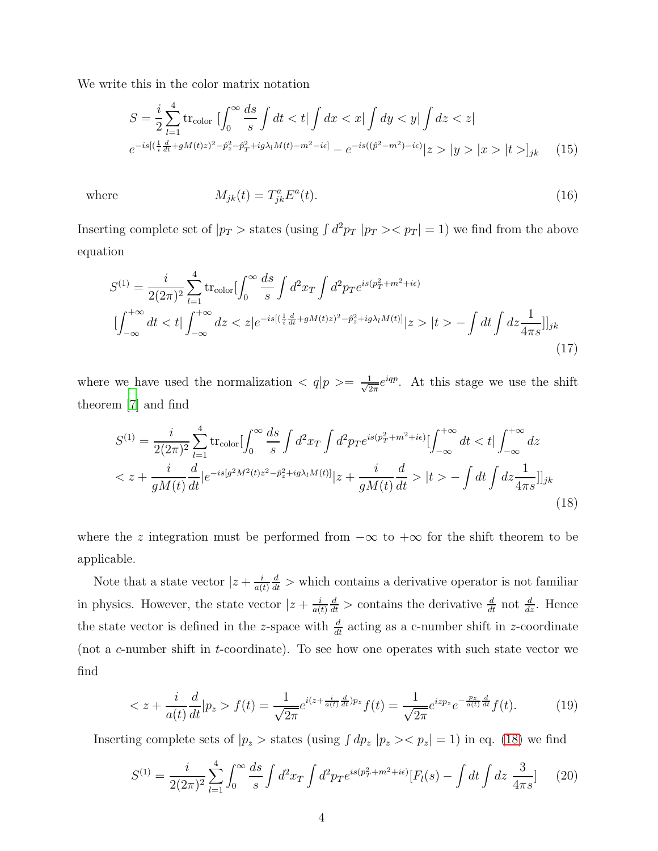We write this in the color matrix notation

$$
S = \frac{i}{2} \sum_{l=1}^{4} \text{tr}_{\text{color}} \left[ \int_{0}^{\infty} \frac{ds}{s} \int dt < t \right] \int dx < x \left| \int dy < y \right| \int dz < z \left| \int dz \right| \left| \int dz \right| \left| \int dz \right| \left| \int dz \right| \left| \int dz \right| \left| \int dz \right| \left| \int dz \right| \left| \int dz \right| \left| \int dz \right| \left| \int dz \right| \left| \int dz \right| \left| \int dz \right| \left| \int dz \right| \left| \int dz \right| \left| \int dz \right| \left| \int dz \right| \left| \int dz \right| \left| \int dz \right| \left| \int dz \right| \left| \int dz \right| \left| \int dz \right| \left| \int dz \right| \left| \int dz \right| \left| \int dz \right| \left| \int dz \right| \left| \int dz \right| \left| \int dz \right| \left| \int dz \right| \left| \int dz \right| \left| \int dz \right| \left| \int dz \right| \left| \int dz \right| \left| \int dz \right| \left| \int dz \right| \left| \int dz \right| \left| \int dz \right| \left| \int dz \right| \left| \int dz \right| \left| \int dz \right| \left| \int dz \right| \left| \int dz \right| \left| \int dz \right| \left| \int dz \right| \left| \int dz \right| \left| \int dz \right| \left| \int dz \right| \left| \int dz \right| \left| \int dz \right| \left| \int dz \right| \left| \int dz \right| \left| \int dz \right| \left| \int dz \right| \left| \int dz \right| \left| \int dz \right| \left| \int dz \right| \left| \int dz \right| \left| \int dz \right| \left| \int dz \right| \left| \int dz \right| \left| \int dz \right| \left| \int dz \right| \left| \int dz \right| \left| \int dz \right| \left| \int dz \right| \left| \int dz \right| \left| \int dz \right| \left| \int dz \right| \left| \int dz \right| \left| \int dz \right| \left| \int dz \right| \left| \int dz \right| \left| \int dz \right| \left| \int dz \right| \left| \int dz \right| \left| \int dz \right
$$

where

$$
M_{jk}(t) = T_{jk}^a E^a(t). \tag{16}
$$

Inserting complete set of  $|p_T| >$  states (using  $\int d^2p_T |p_T| >$   $\le$   $p_T | = 1$ ) we find from the above equation

$$
S^{(1)} = \frac{i}{2(2\pi)^2} \sum_{l=1}^4 \text{tr}_{\text{color}} \left[ \int_0^\infty \frac{ds}{s} \int d^2 x_T \int d^2 p_T e^{is(p_T^2 + m^2 + i\epsilon)} \right]
$$

$$
\left[ \int_{-\infty}^{+\infty} dt < t \right] \int_{-\infty}^{+\infty} dz < z \left[ e^{-is\left[ \left(\frac{1}{i}\frac{d}{dt} + gM(t)z\right)^2 - \hat{p}_z^2 + ig\lambda_l M(t) \right]} \right] |z > |t > - \int dt \int dz \frac{1}{4\pi s} \right] j_k \tag{17}
$$

where we have used the normalization  $\langle q|p\rangle = \frac{1}{\sqrt{2}}$  $\frac{1}{2\pi}e^{iqp}$ . At this stage we use the shift theorem [\[7\]](#page-7-6) and find

<span id="page-3-0"></span>
$$
S^{(1)} = \frac{i}{2(2\pi)^2} \sum_{l=1}^4 \text{tr}_{\text{color}} \left[ \int_0^\infty \frac{ds}{s} \int d^2 x_T \int d^2 p_T e^{is(p_T^2 + m^2 + i\epsilon)} \left[ \int_{-\infty}^{+\infty} dt < t \right] \int_{-\infty}^{+\infty} dz
$$
\n
$$
< z + \frac{i}{gM(t)} \frac{d}{dt} |e^{-is[g^2 M^2(t)z^2 - \hat{p}_z^2 + ig\lambda_l M(t)]} |z + \frac{i}{gM(t)} \frac{d}{dt} > |t > -\int dt \int dz \frac{1}{4\pi s} \left| \right|_{jk} \tag{18}
$$

where the z integration must be performed from  $-\infty$  to  $+\infty$  for the shift theorem to be applicable.

Note that a state vector  $|z + \frac{i}{a(x)}|$  $a(t)$  $\frac{d}{dt}$  > which contains a derivative operator is not familiar in physics. However, the state vector  $|z + \frac{i}{a(z)}|$  $a(t)$  $\frac{d}{dt}$  > contains the derivative  $\frac{d}{dt}$  not  $\frac{d}{dz}$ . Hence the state vector is defined in the z-space with  $\frac{d}{dt}$  acting as a c-number shift in z-coordinate (not a c-number shift in t-coordinate). To see how one operates with such state vector we find

$$
\langle z + \frac{i}{a(t)} \frac{d}{dt} | p_z > f(t) = \frac{1}{\sqrt{2\pi}} e^{i(z + \frac{i}{a(t)} \frac{d}{dt}) p_z} f(t) = \frac{1}{\sqrt{2\pi}} e^{iz p_z} e^{-\frac{p_z}{a(t)} \frac{d}{dt}} f(t).
$$
(19)

Inserting complete sets of  $|p_z\rangle$  states (using  $\int dp_z |p_z\rangle \langle p_z| = 1$ ) in eq. [\(18\)](#page-3-0) we find

<span id="page-3-1"></span>
$$
S^{(1)} = \frac{i}{2(2\pi)^2} \sum_{l=1}^4 \int_0^\infty \frac{ds}{s} \int d^2x \, \int d^2p \, \text{d}^2p \, \text{d}^2p \, \text{d}^2p \, \text{d}^2p \, \text{d}^2p \, \text{d}^2p \, \text{d}^2p \, \text{d}^2p \, \text{d}^2p \, \text{d}^2p \, \text{d}^2p \, \text{d}^2p \, \text{d}^2p \, \text{d}^2p \, \text{d}^2p \, \text{d}^2p \, \text{d}^2p \, \text{d}^2p \, \text{d}^2p \, \text{d}^2p \, \text{d}^2p \, \text{d}^2p \, \text{d}^2p \, \text{d}^2p \, \text{d}^2p \, \text{d}^2p \, \text{d}^2p \, \text{d}^2p \, \text{d}^2p \, \text{d}^2p \, \text{d}^2p \, \text{d}^2p \, \text{d}^2p \, \text{d}^2p \, \text{d}^2p \, \text{d}^2p \, \text{d}^2p \, \text{d}^2p \, \text{d}^2p \, \text{d}^2p \, \text{d}^2p \, \text{d}^2p \, \text{d}^2p \, \text{d}^2p \, \text{d}^2p \, \text{d}^2p \, \text{d}^2p \, \text{d}^2p \, \text{d}^2p \, \text{d}^2p \, \text{d}^2p \, \text{d}^2p \, \text{d}^2p \, \text{d}^2p \, \text{d}^2p \, \text{d}^2p \, \text{d}^2p \, \text{d}^2p \, \text{d}^2p \, \text{d}^2p \, \text{d}^2p \, \text{d}^2p \, \text{d}^2p \, \text{d}^2p \, \text{d}^2p \, \text{d}^2p \, \text{d}^2p \, \text{d}^2p \, \text{d}^2p \, \text{d}^2p \, \text
$$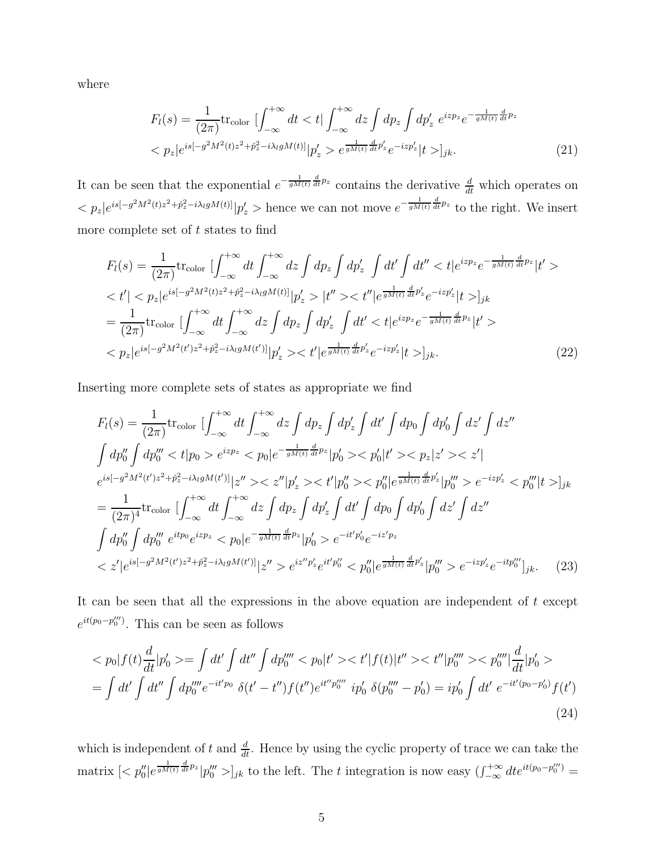where

$$
F_l(s) = \frac{1}{(2\pi)} \text{tr}_{\text{color}} \left[ \int_{-\infty}^{+\infty} dt < t \right] \int_{-\infty}^{+\infty} dz \int dp_z \int dp'_z \ e^{izp_z} e^{-\frac{1}{gM(t)} \frac{d}{dt} p_z} \\ < p_z |e^{is[-g^2 M^2(t)z^2 + \hat{p}_z^2 - i\lambda_l gM(t)]} |p'_z > e^{\frac{1}{gM(t)} \frac{d}{dt} p'_z} e^{-izp'_z} |t >]_{jk} . \tag{21}
$$

It can be seen that the exponential  $e^{-\frac{1}{gM(t)}\frac{d}{dt}p_z}$  contains the derivative  $\frac{d}{dt}$  which operates on  $\langle p_z|e^{is[-g^2M^2(t)z^2+\hat{p}_z^2-i\lambda_l gM(t)]}|p'_z\rangle$  hence we can not move  $e^{-\frac{1}{gM(t)}\frac{d}{dt}p_z}$  to the right. We insert more complete set of  $t$  states to find

$$
F_{l}(s) = \frac{1}{(2\pi)} \text{tr}_{\text{color}} \left[ \int_{-\infty}^{+\infty} dt \int_{-\infty}^{+\infty} dz \int dp_{z} \int dp'_{z} \int dt' \int dt'' < t |e^{izp_{z}} e^{-\frac{1}{gM(t)} \frac{d}{dt}p_{z}}| t' > \n< t' | < p_{z} |e^{is[-g^{2}M^{2}(t)z^{2} + \hat{p}_{z}^{2} - i\lambda_{l}gM(t)]} |p'_{z}| > |t'' > < t'' |e^{\frac{1}{gM(t)} \frac{d}{dt}p'_{z}} e^{-izp'_{z}}|t >]_{jk}
$$
\n
$$
= \frac{1}{(2\pi)} \text{tr}_{\text{color}} \left[ \int_{-\infty}^{+\infty} dt \int_{-\infty}^{+\infty} dz \int dp_{z} \int dp'_{z} \int dt' < t |e^{izp_{z}} e^{-\frac{1}{gM(t)} \frac{d}{dt}p_{z}}|t' > \n< p_{z} |e^{is[-g^{2}M^{2}(t')z^{2} + \hat{p}_{z}^{2} - i\lambda_{l}gM(t')]}|p'_{z}| > < t' |e^{\frac{1}{gM(t)} \frac{d}{dt}p'_{z}} e^{-izp'_{z}}|t| >_{jk}.
$$
\n(22)

Inserting more complete sets of states as appropriate we find

$$
F_{l}(s) = \frac{1}{(2\pi)} \text{tr}_{\text{color}} \left[ \int_{-\infty}^{+\infty} dt \int_{-\infty}^{+\infty} dz \int dp_{z} \int dp'_{z} \int dt' \int dp_{0} \int dp'_{0} \int dz' \int dz''
$$
  

$$
\int dp''_{0} \int dp'''_{0} < t|p_{0} > e^{izp_{z}} < p_{0}|e^{-\frac{1}{gh(t)}\frac{d}{dt}p_{z}}|p'_{0} > < p'_{0}|t' > < p_{z}|z' > < z'|
$$
  

$$
e^{is[-g^{2}M^{2}(t')z^{2}+\hat{p}_{z}^{2}-i\lambda_{l}gM(t')]}\left|z'' > < z''|p'_{z} > < t'|p''_{0} > < p''_{0}|e^{\frac{1}{gh(t)}\frac{d}{dt}p'_{z}}|p''_{0} > e^{-izp'_{z}} < p'''_{0}|t >]_{jk}
$$
  

$$
= \frac{1}{(2\pi)^{4}} \text{tr}_{\text{color}} \left[ \int_{-\infty}^{+\infty} dt \int_{-\infty}^{+\infty} dz \int dp_{z} \int dp'_{z} \int dt' \int dp_{0} \int dp'_{0} \int dz' \int dz''
$$
  

$$
\int dp''_{0} \int dp''_{0} e^{itp_{0}} e^{izp_{z}} < p_{0}|e^{-\frac{1}{gh(t)}\frac{d}{dt}p_{z}}|p'_{0} > e^{-it'p'_{0}} e^{-iz'p_{z}}
$$
  

$$
< z'|e^{is[-g^{2}M^{2}(t')z^{2}+\hat{p}_{z}^{2}-i\lambda_{l}gM(t')]}\left|z'' > e^{iz''p'_{z}} e^{it'p''_{0}} < p''_{0}|e^{\frac{1}{gh(t)}\frac{d}{dt}p'_{z}}|p'''_{0} > e^{-izp'_{z}} e^{-itp'''_{0}}\right]_{jk}.
$$
 (23)

It can be seen that all the expressions in the above equation are independent of  $t$  except  $e^{it(p_0-p_0'')}$ . This can be seen as follows

$$
\langle p_0 | f(t) \frac{d}{dt} | p'_0 \rangle = \int dt' \int dt'' \int dp_0'''' \langle p_0 | t' \rangle \langle t' | f(t) | t'' \rangle \langle t'' | p_0''' \rangle \langle p_0''' | \frac{d}{dt} | p'_0 \rangle
$$
  
= 
$$
\int dt' \int dt'' \int dp_0'''' e^{-it'p_0} \delta(t' - t'') f(t'') e^{it'' p_0'''} i p'_0 \delta(p_0'''' - p'_0) = i p'_0 \int dt' e^{-it'(p_0 - p'_0)} f(t')
$$
 (24)

which is independent of t and  $\frac{d}{dt}$ . Hence by using the cyclic property of trace we can take the matrix  $\left[ \langle p''_0 | e^{\frac{1}{gM(t)} \frac{d}{dt} p_z} | p'''_0 \rangle \right]_{jk}$  to the left. The t integration is now easy  $\left( \int_{-\infty}^{+\infty} dt e^{it(p_0 - p''_0)} \right)$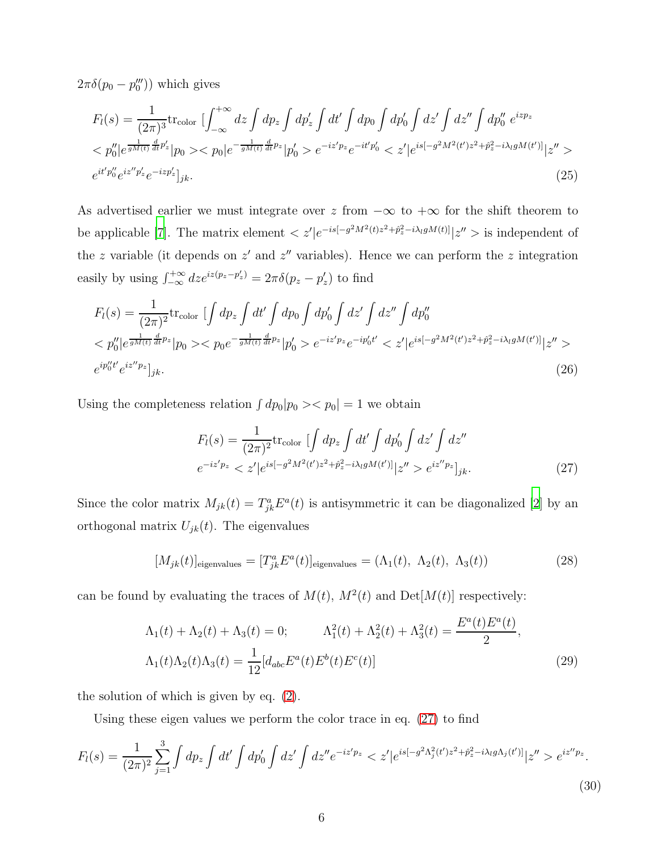$2\pi\delta(p_0-p_0''')$  which gives

$$
F_l(s) = \frac{1}{(2\pi)^3} \text{tr}_{\text{color}} \left[ \int_{-\infty}^{+\infty} dz \int dp_z \int dp'_z \int dt' \int dp_0 \int dp'_0 \int dz' \int dz'' \int dp''_0 e^{izp_z} < p''_0 |e^{\frac{1}{gM(t)}\frac{d}{dt}p'_z}|p_0> < p_0 |e^{-\frac{1}{gM(t)}\frac{d}{dt}p_z}|p'_0> e^{-iz'p_z}e^{-it'p'_0} < z' |e^{is[-g^2M^2(t')z^2 + \hat{p}_z^2 - i\lambda_l gM(t')]}\big|z''> e^{it'p''_0} e^{iz''p'_z} e^{-izp'_z}\big]_{jk}.
$$
 (25)

As advertised earlier we must integrate over z from  $-\infty$  to  $+\infty$  for the shift theorem to be applicable [\[7](#page-7-6)]. The matrix element  $\langle z'|e^{-is[-g^2M^2(t)z^2+\hat{p}_z^2-i\lambda_l gM(t)]}|z''\rangle$  is independent of the z variable (it depends on  $z'$  and  $z''$  variables). Hence we can perform the z integration easily by using  $\int_{-\infty}^{+\infty} dz e^{iz(p_z - p'_z)} = 2\pi \delta(p_z - p'_z)$  to find

$$
F_l(s) = \frac{1}{(2\pi)^2} \text{tr}_{\text{color}} \left[ \int dp_z \int dt' \int dp_0 \int dp'_0 \int dz' \int dp''_0
$$
  

$$
< p''_0 | e^{\frac{1}{gM(t)} \frac{d}{dt} p_z} | p_0 > < p_0 e^{-\frac{1}{gM(t)} \frac{d}{dt} p_z} | p'_0 > e^{-iz'p_z} e^{-ip'_0 t'} < z' | e^{is[-g^2 M^2(t')z^2 + \hat{p}_z^2 - i\lambda_l gM(t')] } | z'' >
$$
  

$$
e^{ip''_0 t'} e^{iz''p_z} |_{jk}.
$$
 (26)

Using the completeness relation  $\int dp_0|p_0\rangle \langle p_0| = 1$  we obtain

<span id="page-5-0"></span>
$$
F_l(s) = \frac{1}{(2\pi)^2} \text{tr}_{\text{color}} \left[ \int dp_z \int dt' \int dp'_0 \int dz' \int dz''
$$
  

$$
e^{-iz'p_z} < z'|e^{is[-g^2M^2(t')z^2 + \hat{p}_z^2 - i\lambda_l gM(t')] } |z''>e^{iz''p_z} |_{jk}.
$$
 (27)

Since the color matrix  $M_{jk}(t) = T_{jk}^a E^a(t)$  is antisymmetric it can be diagonalized [\[2](#page-7-1)] by an orthogonal matrix  $U_{jk}(t)$ . The eigenvalues

$$
[M_{jk}(t)]_{\text{eigenvalues}} = [T_{jk}^a E^a(t)]_{\text{eigenvalues}} = (\Lambda_1(t), \ \Lambda_2(t), \ \Lambda_3(t)) \tag{28}
$$

can be found by evaluating the traces of  $M(t)$ ,  $M^2(t)$  and  $Det[M(t)]$  respectively:

$$
\Lambda_1(t) + \Lambda_2(t) + \Lambda_3(t) = 0; \qquad \Lambda_1^2(t) + \Lambda_2^2(t) + \Lambda_3^2(t) = \frac{E^a(t)E^a(t)}{2},
$$

$$
\Lambda_1(t)\Lambda_2(t)\Lambda_3(t) = \frac{1}{12}[d_{abc}E^a(t)E^b(t)E^c(t)]
$$
(29)

the solution of which is given by eq. [\(2\)](#page-1-1).

Using these eigen values we perform the color trace in eq. [\(27\)](#page-5-0) to find

<span id="page-5-1"></span>
$$
F_l(s) = \frac{1}{(2\pi)^2} \sum_{j=1}^3 \int dp_z \int dt' \int dp'_0 \int dz' \int dz'' e^{-iz'p_z} \langle z'|e^{is[-g^2\Lambda_j^2(t')z^2 + \hat{p}_z^2 - i\lambda_l g\Lambda_j(t')]}\rangle z'' > e^{iz''p_z}.
$$
\n(30)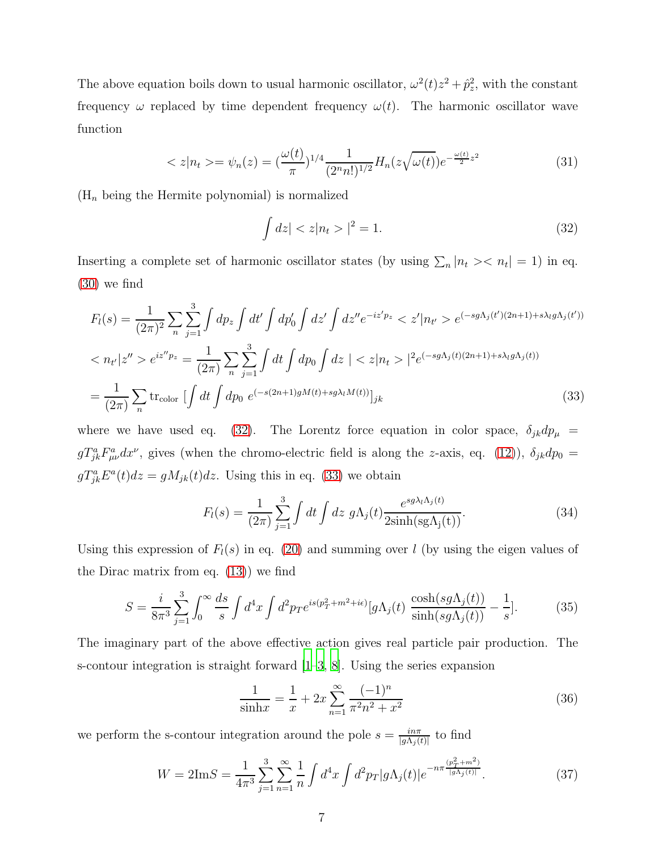The above equation boils down to usual harmonic oscillator,  $\omega^2(t)z^2 + \hat{p}_z^2$ , with the constant frequency  $\omega$  replaced by time dependent frequency  $\omega(t)$ . The harmonic oscillator wave function

$$
\langle z | n_t \rangle = \psi_n(z) = \left(\frac{\omega(t)}{\pi}\right)^{1/4} \frac{1}{(2^n n!)^{1/2}} H_n(z \sqrt{\omega(t)}) e^{-\frac{\omega(t)}{2} z^2} \tag{31}
$$

 $(H_n)$  being the Hermite polynomial) is normalized

<span id="page-6-0"></span>
$$
\int dz | < z | n_t > |^2 = 1. \tag{32}
$$

Inserting a complete set of harmonic oscillator states (by using  $\sum_n |n_t\rangle < n_t$ ) in eq. [\(30\)](#page-5-1) we find

<span id="page-6-1"></span>
$$
F_l(s) = \frac{1}{(2\pi)^2} \sum_n \sum_{j=1}^3 \int dp_z \int dt' \int dp'_0 \int dz' \int dz'' e^{-iz'p_z} \langle z'|n_{t'} \rangle e^{(-sg\Lambda_j(t')(2n+1) + s\lambda_l g\Lambda_j(t'))}
$$
  

$$
\langle n_{t'}|z'' \rangle e^{iz''p_z} = \frac{1}{(2\pi)} \sum_n \sum_{j=1}^3 \int dt \int dp_0 \int dz \, | \langle z|n_t \rangle |^2 e^{(-sg\Lambda_j(t)(2n+1) + s\lambda_l g\Lambda_j(t))}
$$
  

$$
= \frac{1}{(2\pi)} \sum_n \text{tr}_{color} \left[ \int dt \int dp_0 \, e^{(-s(2n+1)gM(t) + sg\lambda_l M(t))} \right]_{jk}
$$
(33)

where we have used eq. [\(32\)](#page-6-0). The Lorentz force equation in color space,  $\delta_{jk}dp_{\mu}$  =  $g T_{jk}^a F_{\mu\nu}^a dx^{\nu}$ , gives (when the chromo-electric field is along the z-axis, eq. [\(12\)](#page-2-3)),  $\delta_{jk}dp_0 =$  $gT_{jk}^a E^a(t)dz = gM_{jk}(t)dz$ . Using this in eq. [\(33\)](#page-6-1) we obtain

$$
F_l(s) = \frac{1}{(2\pi)} \sum_{j=1}^3 \int dt \int dz \ g \Lambda_j(t) \frac{e^{sg\lambda_l \Lambda_j(t)}}{2\sinh(\text{sg}\Lambda_j(t))}.
$$
 (34)

Using this expression of  $F_l(s)$  in eq. [\(20\)](#page-3-1) and summing over l (by using the eigen values of the Dirac matrix from eq. [\(13\)](#page-2-5)) we find

$$
S = \frac{i}{8\pi^3} \sum_{j=1}^3 \int_0^\infty \frac{ds}{s} \int d^4x \int d^2p_T e^{is(p_T^2 + m^2 + i\epsilon)} [g\Lambda_j(t) \frac{\cosh(sg\Lambda_j(t))}{\sinh(sg\Lambda_j(t))} - \frac{1}{s}].
$$
 (35)

The imaginary part of the above effective action gives real particle pair production. The s-contour integration is straight forward  $|1-3, 8|$ . Using the series expansion

$$
\frac{1}{\sinh x} = \frac{1}{x} + 2x \sum_{n=1}^{\infty} \frac{(-1)^n}{\pi^2 n^2 + x^2}
$$
 (36)

we perform the s-contour integration around the pole  $s = \frac{i n \pi}{\log(10)}$  $\frac{i n \pi}{|g \Lambda_j(t)|}$  to find

$$
W = 2\text{Im}S = \frac{1}{4\pi^3} \sum_{j=1}^3 \sum_{n=1}^\infty \frac{1}{n} \int d^4x \int d^2p_T |g\Lambda_j(t)| e^{-n\pi \frac{(p_T^2 + m^2)}{|g\Lambda_j(t)|}}.
$$
 (37)